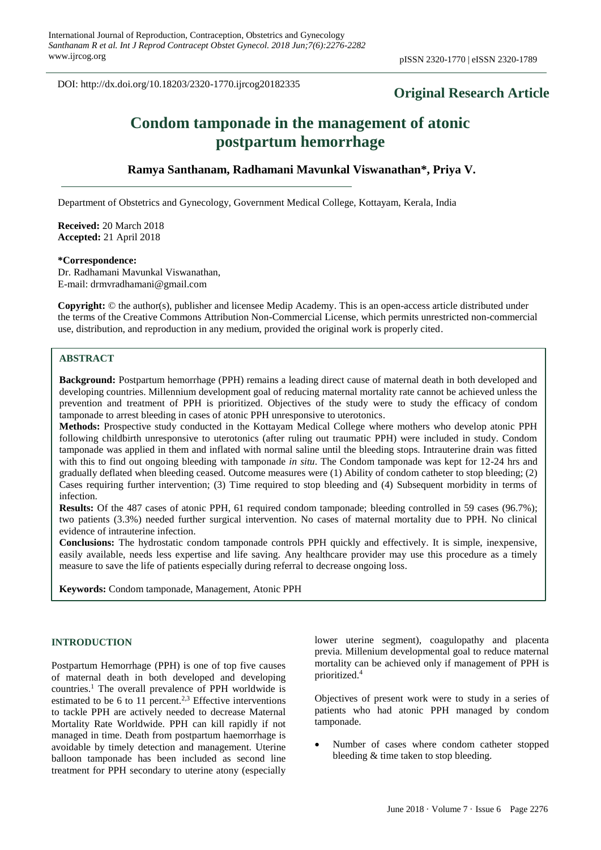DOI: http://dx.doi.org/10.18203/2320-1770.ijrcog20182335

# **Original Research Article**

# **Condom tamponade in the management of atonic postpartum hemorrhage**

# **Ramya Santhanam, Radhamani Mavunkal Viswanathan\*, Priya V.**

Department of Obstetrics and Gynecology, Government Medical College, Kottayam, Kerala, India

**Received:** 20 March 2018 **Accepted:** 21 April 2018

## **\*Correspondence:**

Dr. Radhamani Mavunkal Viswanathan, E-mail: drmvradhamani@gmail.com

**Copyright:** © the author(s), publisher and licensee Medip Academy. This is an open-access article distributed under the terms of the Creative Commons Attribution Non-Commercial License, which permits unrestricted non-commercial use, distribution, and reproduction in any medium, provided the original work is properly cited.

# **ABSTRACT**

**Background:** Postpartum hemorrhage (PPH) remains a leading direct cause of maternal death in both developed and developing countries. Millennium development goal of reducing maternal mortality rate cannot be achieved unless the prevention and treatment of PPH is prioritized. Objectives of the study were to study the efficacy of condom tamponade to arrest bleeding in cases of atonic PPH unresponsive to uterotonics.

**Methods:** Prospective study conducted in the Kottayam Medical College where mothers who develop atonic PPH following childbirth unresponsive to uterotonics (after ruling out traumatic PPH) were included in study. Condom tamponade was applied in them and inflated with normal saline until the bleeding stops. Intrauterine drain was fitted with this to find out ongoing bleeding with tamponade *in situ*. The Condom tamponade was kept for 12-24 hrs and gradually deflated when bleeding ceased. Outcome measures were (1) Ability of condom catheter to stop bleeding; (2) Cases requiring further intervention; (3) Time required to stop bleeding and (4) Subsequent morbidity in terms of infection.

**Results:** Of the 487 cases of atonic PPH, 61 required condom tamponade; bleeding controlled in 59 cases (96.7%); two patients (3.3%) needed further surgical intervention. No cases of maternal mortality due to PPH. No clinical evidence of intrauterine infection.

**Conclusions:** The hydrostatic condom tamponade controls PPH quickly and effectively. It is simple, inexpensive, easily available, needs less expertise and life saving. Any healthcare provider may use this procedure as a timely measure to save the life of patients especially during referral to decrease ongoing loss.

**Keywords:** Condom tamponade, Management, Atonic PPH

# **INTRODUCTION**

Postpartum Hemorrhage (PPH) is one of top five causes of maternal death in both developed and developing countries.<sup>1</sup> The overall prevalence of PPH worldwide is estimated to be 6 to 11 percent.<sup>2,3</sup> Effective interventions to tackle PPH are actively needed to decrease Maternal Mortality Rate Worldwide. PPH can kill rapidly if not managed in time. Death from postpartum haemorrhage is avoidable by timely detection and management. Uterine balloon tamponade has been included as second line treatment for PPH secondary to uterine atony (especially lower uterine segment), coagulopathy and placenta previa. Millenium developmental goal to reduce maternal mortality can be achieved only if management of PPH is prioritized.<sup>4</sup>

Objectives of present work were to study in a series of patients who had atonic PPH managed by condom tamponade.

• Number of cases where condom catheter stopped bleeding & time taken to stop bleeding.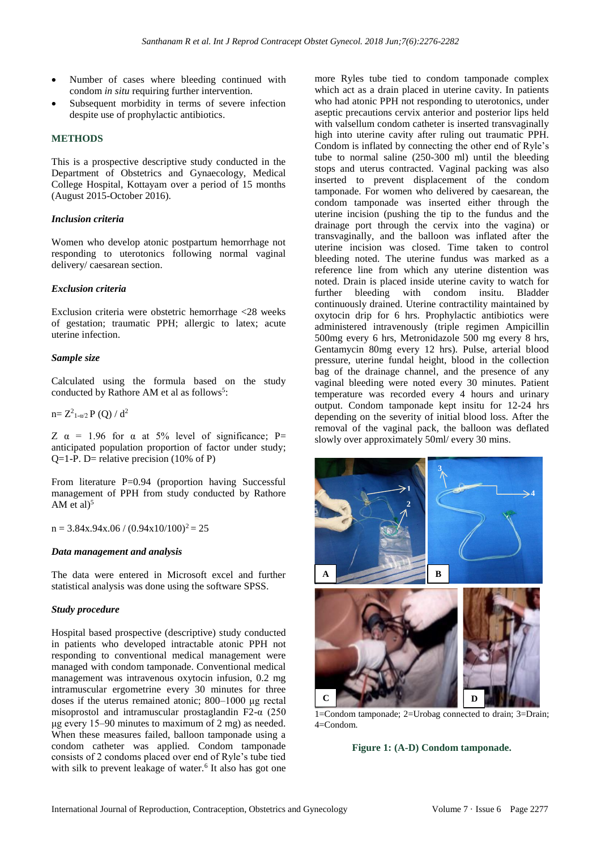- Number of cases where bleeding continued with condom *in situ* requiring further intervention.
- Subsequent morbidity in terms of severe infection despite use of prophylactic antibiotics.

# **METHODS**

This is a prospective descriptive study conducted in the Department of Obstetrics and Gynaecology, Medical College Hospital, Kottayam over a period of 15 months (August 2015-October 2016).

#### *Inclusion criteria*

Women who develop atonic postpartum hemorrhage not responding to uterotonics following normal vaginal delivery/ caesarean section.

#### *Exclusion criteria*

Exclusion criteria were obstetric hemorrhage <28 weeks of gestation; traumatic PPH; allergic to latex; acute uterine infection.

## *Sample size*

Calculated using the formula based on the study conducted by Rathore AM et al as follows<sup>5</sup>:

 $n=Z_{1-\alpha/2}^{2}P(Q)/d^{2}$ 

Z  $\alpha$  = 1.96 for  $\alpha$  at 5% level of significance; P= anticipated population proportion of factor under study; Q=1-P. D= relative precision  $(10\% \text{ of P})$ 

From literature  $P=0.94$  (proportion having Successful management of PPH from study conducted by Rathore AM et al $5$ 

 $n = 3.84x.94x.06 / (0.94x10/100)^2 = 25$ 

#### *Data management and analysis*

The data were entered in Microsoft excel and further statistical analysis was done using the software SPSS.

#### *Study procedure*

Hospital based prospective (descriptive) study conducted in patients who developed intractable atonic PPH not responding to conventional medical management were managed with condom tamponade. Conventional medical management was intravenous oxytocin infusion, 0.2 mg intramuscular ergometrine every 30 minutes for three doses if the uterus remained atonic; 800–1000 μg rectal misoprostol and intramuscular prostaglandin F2-α (250 μg every 15–90 minutes to maximum of 2 mg) as needed. When these measures failed, balloon tamponade using a condom catheter was applied. Condom tamponade consists of 2 condoms placed over end of Ryle's tube tied with silk to prevent leakage of water.<sup>6</sup> It also has got one more Ryles tube tied to condom tamponade complex which act as a drain placed in uterine cavity. In patients who had atonic PPH not responding to uterotonics, under aseptic precautions cervix anterior and posterior lips held with valsellum condom catheter is inserted transvaginally high into uterine cavity after ruling out traumatic PPH. Condom is inflated by connecting the other end of Ryle's tube to normal saline (250-300 ml) until the bleeding stops and uterus contracted. Vaginal packing was also inserted to prevent displacement of the condom tamponade. For women who delivered by caesarean, the condom tamponade was inserted either through the uterine incision (pushing the tip to the fundus and the drainage port through the cervix into the vagina) or transvaginally, and the balloon was inflated after the uterine incision was closed. Time taken to control bleeding noted. The uterine fundus was marked as a reference line from which any uterine distention was noted. Drain is placed inside uterine cavity to watch for further bleeding with condom insitu. Bladder continuously drained. Uterine contractility maintained by oxytocin drip for 6 hrs. Prophylactic antibiotics were administered intravenously (triple regimen Ampicillin 500mg every 6 hrs, Metronidazole 500 mg every 8 hrs, Gentamycin 80mg every 12 hrs). Pulse, arterial blood pressure, uterine fundal height, blood in the collection bag of the drainage channel, and the presence of any vaginal bleeding were noted every 30 minutes. Patient temperature was recorded every 4 hours and urinary output. Condom tamponade kept insitu for 12-24 hrs depending on the severity of initial blood loss. After the removal of the vaginal pack, the balloon was deflated slowly over approximately 50ml/ every 30 mins.



1=Condom tamponade; 2=Urobag connected to drain; 3=Drain;  $4=$ Condom.

**Figure 1: (A-D) Condom tamponade.**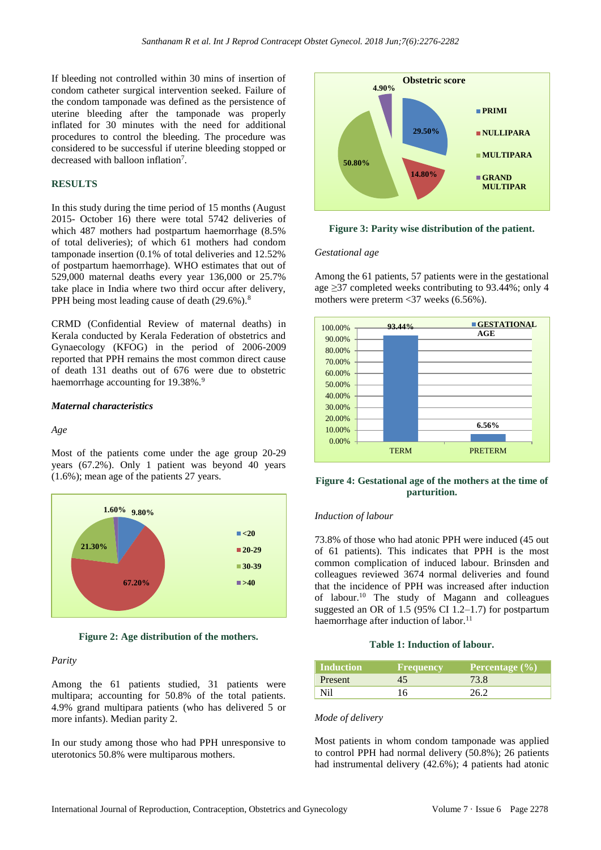If bleeding not controlled within 30 mins of insertion of condom catheter surgical intervention seeked. Failure of the condom tamponade was defined as the persistence of uterine bleeding after the tamponade was properly inflated for 30 minutes with the need for additional procedures to control the bleeding. The procedure was considered to be successful if uterine bleeding stopped or decreased with balloon inflation<sup>7</sup>.

#### **RESULTS**

In this study during the time period of 15 months (August 2015- October 16) there were total 5742 deliveries of which 487 mothers had postpartum haemorrhage (8.5% of total deliveries); of which 61 mothers had condom tamponade insertion (0.1% of total deliveries and 12.52% of postpartum haemorrhage). WHO estimates that out of 529,000 maternal deaths every year 136,000 or 25.7% take place in India where two third occur after delivery, PPH being most leading cause of death (29.6%).<sup>8</sup>

CRMD (Confidential Review of maternal deaths) in Kerala conducted by Kerala Federation of obstetrics and Gynaecology (KFOG) in the period of 2006-2009 reported that PPH remains the most common direct cause of death 131 deaths out of 676 were due to obstetric haemorrhage accounting for  $19.38\%$ .<sup>9</sup>

# *Maternal characteristics*

#### *Age*

Most of the patients come under the age group 20-29 years (67.2%). Only 1 patient was beyond 40 years (1.6%); mean age of the patients 27 years.



**Figure 2: Age distribution of the mothers.**

#### *Parity*

Among the 61 patients studied, 31 patients were multipara; accounting for 50.8% of the total patients. 4.9% grand multipara patients (who has delivered 5 or more infants). Median parity 2.

In our study among those who had PPH unresponsive to uterotonics 50.8% were multiparous mothers.



**Figure 3: Parity wise distribution of the patient.**

#### *Gestational age*

Among the 61 patients, 57 patients were in the gestational age ≥37 completed weeks contributing to 93.44%; only 4 mothers were preterm <37 weeks (6.56%).



# **Figure 4: Gestational age of the mothers at the time of parturition.**

#### *Induction of labour*

73.8% of those who had atonic PPH were induced (45 out of 61 patients). This indicates that PPH is the most common complication of induced labour. Brinsden and colleagues reviewed 3674 normal deliveries and found that the incidence of PPH was increased after induction of labour.<sup>10</sup> The study of Magann and colleagues suggested an OR of 1.5 (95% CI 1.2–1.7) for postpartum haemorrhage after induction of labor.<sup>11</sup>

#### **Table 1: Induction of labour.**

| <b>Induction</b> | <b>Frequency</b> | Percentage $(\% )$ |
|------------------|------------------|--------------------|
| <b>Present</b>   | 45               | 73.8               |
| Ni1              | 16               | 26.2               |

#### *Mode of delivery*

Most patients in whom condom tamponade was applied to control PPH had normal delivery (50.8%); 26 patients had instrumental delivery (42.6%); 4 patients had atonic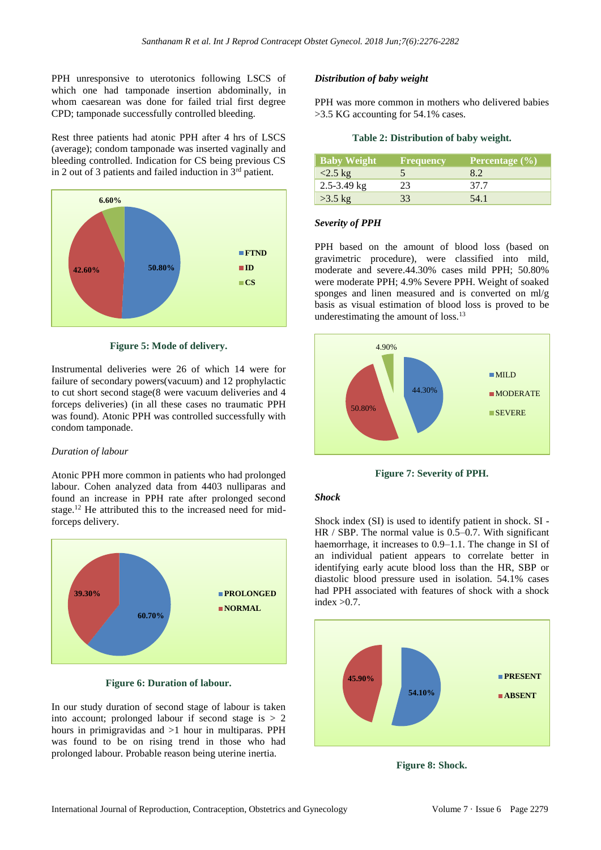PPH unresponsive to uterotonics following LSCS of which one had tamponade insertion abdominally, in whom caesarean was done for failed trial first degree CPD; tamponade successfully controlled bleeding.

Rest three patients had atonic PPH after 4 hrs of LSCS (average); condom tamponade was inserted vaginally and bleeding controlled. Indication for CS being previous CS in 2 out of 3 patients and failed induction in  $3<sup>rd</sup>$  patient.



**Figure 5: Mode of delivery.**

Instrumental deliveries were 26 of which 14 were for failure of secondary powers(vacuum) and 12 prophylactic to cut short second stage(8 were vacuum deliveries and 4 forceps deliveries) (in all these cases no traumatic PPH was found). Atonic PPH was controlled successfully with condom tamponade.

#### *Duration of labour*

Atonic PPH more common in patients who had prolonged labour. Cohen analyzed data from 4403 nulliparas and found an increase in PPH rate after prolonged second stage.<sup>12</sup> He attributed this to the increased need for midforceps delivery.



**Figure 6: Duration of labour.**

In our study duration of second stage of labour is taken into account; prolonged labour if second stage is  $> 2$ hours in primigravidas and >1 hour in multiparas. PPH was found to be on rising trend in those who had prolonged labour. Probable reason being uterine inertia.

## *Distribution of baby weight*

PPH was more common in mothers who delivered babies >3.5 KG accounting for 54.1% cases.

#### **Table 2: Distribution of baby weight.**

| <b>Baby Weight</b> | <b>Frequency</b> | Percentage $(\% )$ |
|--------------------|------------------|--------------------|
| $<2.5$ kg          |                  | 8.2                |
| $2.5 - 3.49$ kg    | 23               | 37.7               |
| $>3.5$ kg          | 33               | 54.1               |

#### *Severity of PPH*

PPH based on the amount of blood loss (based on gravimetric procedure), were classified into mild, moderate and severe.44.30% cases mild PPH; 50.80% were moderate PPH; 4.9% Severe PPH. Weight of soaked sponges and linen measured and is converted on ml/g basis as visual estimation of blood loss is proved to be underestimating the amount of loss.<sup>13</sup>



**Figure 7: Severity of PPH.**

#### *Shock*

Shock index (SI) is used to identify patient in shock. SI - HR / SBP. The normal value is 0.5–0.7. With significant haemorrhage, it increases to 0.9–1.1. The change in SI of an individual patient appears to correlate better in identifying early acute blood loss than the HR, SBP or diastolic blood pressure used in isolation. 54.1% cases had PPH associated with features of shock with a shock index  $>0.7$ .



**Figure 8: Shock.**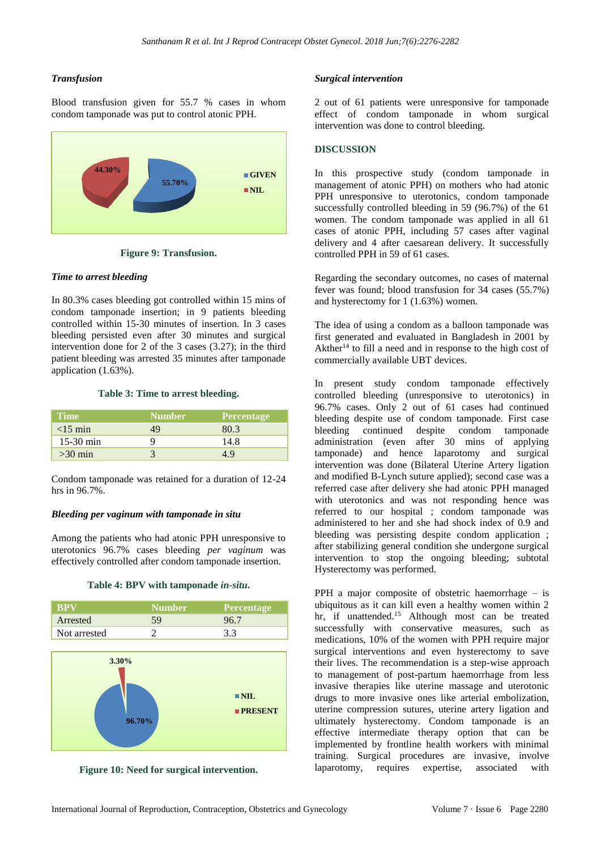# *Transfusion*

Blood transfusion given for 55.7 % cases in whom condom tamponade was put to control atonic PPH.



**Figure 9: Transfusion.**

# *Time to arrest bleeding*

In 80.3% cases bleeding got controlled within 15 mins of condom tamponade insertion; in 9 patients bleeding controlled within 15-30 minutes of insertion. In 3 cases bleeding persisted even after 30 minutes and surgical intervention done for 2 of the 3 cases (3.27); in the third patient bleeding was arrested 35 minutes after tamponade application (1.63%).

#### **Table 3: Time to arrest bleeding.**

| <b>Time</b> | <b>Number</b> | <b>Percentage</b> |
|-------------|---------------|-------------------|
| $<15$ min   | 49            | 80.3              |
| $15-30$ min |               | 14.8              |
| $>30$ min   |               | 4 Y               |

Condom tamponade was retained for a duration of 12-24 hrs in 96.7%.

#### *Bleeding per vaginum with tamponade in situ*

Among the patients who had atonic PPH unresponsive to uterotonics 96.7% cases bleeding *per vaginum* was effectively controlled after condom tamponade insertion.



| <b>BPV</b>   | <b>Number</b> | <b>Percentage</b> |
|--------------|---------------|-------------------|
| Arrested     |               |                   |
| Not arrested |               |                   |



**Figure 10: Need for surgical intervention.**

#### *Surgical intervention*

2 out of 61 patients were unresponsive for tamponade effect of condom tamponade in whom surgical intervention was done to control bleeding.

#### **DISCUSSION**

In this prospective study (condom tamponade in management of atonic PPH) on mothers who had atonic PPH unresponsive to uterotonics, condom tamponade successfully controlled bleeding in 59 (96.7%) of the 61 women. The condom tamponade was applied in all 61 cases of atonic PPH, including 57 cases after vaginal delivery and 4 after caesarean delivery. It successfully controlled PPH in 59 of 61 cases.

Regarding the secondary outcomes, no cases of maternal fever was found; blood transfusion for 34 cases (55.7%) and hysterectomy for 1 (1.63%) women.

The idea of using a condom as a balloon tamponade was first generated and evaluated in Bangladesh in 2001 by Akther<sup>14</sup> to fill a need and in response to the high cost of commercially available UBT devices.

In present study condom tamponade effectively controlled bleeding (unresponsive to uterotonics) in 96.7% cases. Only 2 out of 61 cases had continued bleeding despite use of condom tamponade. First case bleeding continued despite condom tamponade administration (even after 30 mins of applying tamponade) and hence laparotomy and surgical intervention was done (Bilateral Uterine Artery ligation and modified B-Lynch suture applied); second case was a referred case after delivery she had atonic PPH managed with uterotonics and was not responding hence was referred to our hospital ; condom tamponade was administered to her and she had shock index of 0.9 and bleeding was persisting despite condom application ; after stabilizing general condition she undergone surgical intervention to stop the ongoing bleeding; subtotal Hysterectomy was performed.

PPH a major composite of obstetric haemorrhage – is ubiquitous as it can kill even a healthy women within 2 hr, if unattended. <sup>15</sup> Although most can be treated successfully with conservative measures, such as medications, 10% of the women with PPH require major surgical interventions and even hysterectomy to save their lives. The recommendation is a step-wise approach to management of post-partum haemorrhage from less invasive therapies like uterine massage and uterotonic drugs to more invasive ones like arterial embolization, uterine compression sutures, uterine artery ligation and ultimately hysterectomy. Condom tamponade is an effective intermediate therapy option that can be implemented by frontline health workers with minimal training. Surgical procedures are invasive, involve laparotomy, requires expertise, associated with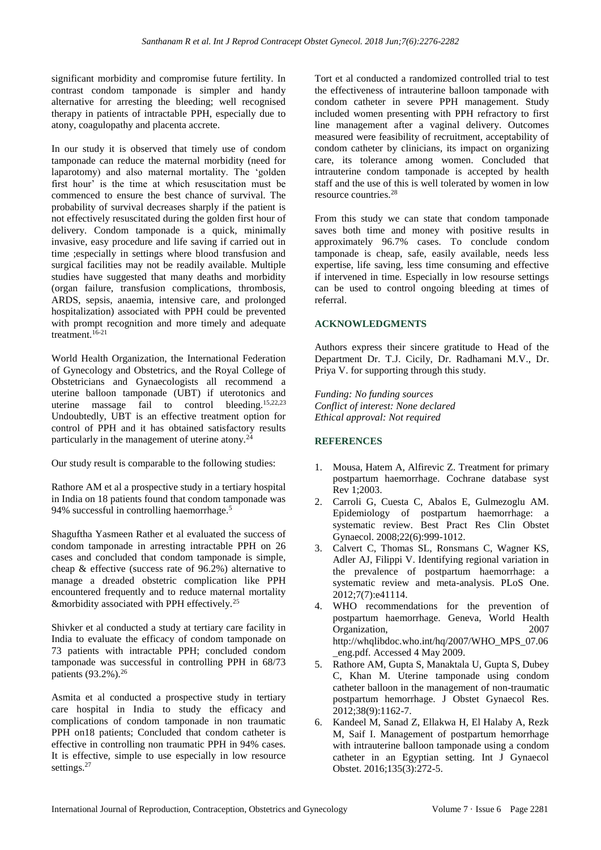significant morbidity and compromise future fertility. In contrast condom tamponade is simpler and handy alternative for arresting the bleeding; well recognised therapy in patients of intractable PPH, especially due to atony, coagulopathy and placenta accrete.

In our study it is observed that timely use of condom tamponade can reduce the maternal morbidity (need for laparotomy) and also maternal mortality. The 'golden first hour' is the time at which resuscitation must be commenced to ensure the best chance of survival. The probability of survival decreases sharply if the patient is not effectively resuscitated during the golden first hour of delivery. Condom tamponade is a quick, minimally invasive, easy procedure and life saving if carried out in time ;especially in settings where blood transfusion and surgical facilities may not be readily available. Multiple studies have suggested that many deaths and morbidity (organ failure, transfusion complications, thrombosis, ARDS, sepsis, anaemia, intensive care, and prolonged hospitalization) associated with PPH could be prevented with prompt recognition and more timely and adequate treatment.16-21

World Health Organization, the International Federation of Gynecology and Obstetrics, and the Royal College of Obstetricians and Gynaecologists all recommend a uterine balloon tamponade (UBT) if uterotonics and uterine massage fail to control bleeding.15,22,23 Undoubtedly, UBT is an effective treatment option for control of PPH and it has obtained satisfactory results particularly in the management of uterine atony. $2<sup>4</sup>$ 

Our study result is comparable to the following studies:

Rathore AM et al a prospective study in a tertiary hospital in India on 18 patients found that condom tamponade was 94% successful in controlling haemorrhage.<sup>5</sup>

Shaguftha Yasmeen Rather et al evaluated the success of condom tamponade in arresting intractable PPH on 26 cases and concluded that condom tamponade is simple, cheap & effective (success rate of 96.2%) alternative to manage a dreaded obstetric complication like PPH encountered frequently and to reduce maternal mortality &morbidity associated with PPH effectively.<sup>25</sup>

Shivker et al conducted a study at tertiary care facility in India to evaluate the efficacy of condom tamponade on 73 patients with intractable PPH; concluded condom tamponade was successful in controlling PPH in 68/73 patients (93.2%).<sup>26</sup>

Asmita et al conducted a prospective study in tertiary care hospital in India to study the efficacy and complications of condom tamponade in non traumatic PPH on18 patients; Concluded that condom catheter is effective in controlling non traumatic PPH in 94% cases. It is effective, simple to use especially in low resource settings.<sup>27</sup>

Tort et al conducted a randomized controlled trial to test the effectiveness of intrauterine balloon tamponade with condom catheter in severe PPH management. Study included women presenting with PPH refractory to first line management after a vaginal delivery. Outcomes measured were feasibility of recruitment, acceptability of condom catheter by clinicians, its impact on organizing care, its tolerance among women. Concluded that intrauterine condom tamponade is accepted by health staff and the use of this is well tolerated by women in low resource countries.<sup>28</sup>

From this study we can state that condom tamponade saves both time and money with positive results in approximately 96.7% cases. To conclude condom tamponade is cheap, safe, easily available, needs less expertise, life saving, less time consuming and effective if intervened in time. Especially in low resourse settings can be used to control ongoing bleeding at times of referral.

# **ACKNOWLEDGMENTS**

Authors express their sincere gratitude to Head of the Department Dr. T.J. Cicily, Dr. Radhamani M.V., Dr. Priya V. for supporting through this study.

*Funding: No funding sources Conflict of interest: None declared Ethical approval: Not required*

# **REFERENCES**

- 1. Mousa, Hatem A, Alfirevic Z. Treatment for primary postpartum haemorrhage. Cochrane database syst Rev 1;2003.
- 2. Carroli G, Cuesta C, Abalos E, Gulmezoglu AM. Epidemiology of postpartum haemorrhage: a systematic review. Best Pract Res Clin Obstet Gynaecol. 2008;22(6):999-1012.
- 3. Calvert C, Thomas SL, Ronsmans C, Wagner KS, Adler AJ, Filippi V. Identifying regional variation in the prevalence of postpartum haemorrhage: a systematic review and meta-analysis. PLoS One. 2012;7(7):e41114.
- 4. WHO recommendations for the prevention of postpartum haemorrhage. Geneva, World Health Organization, 2007 http://whqlibdoc.who.int/hq/2007/WHO\_MPS\_07.06 \_eng.pdf. Accessed 4 May 2009.
- 5. Rathore AM, Gupta S, Manaktala U, Gupta S, Dubey C, Khan M. Uterine tamponade using condom catheter balloon in the management of non-traumatic postpartum hemorrhage. J Obstet Gynaecol Res. 2012;38(9):1162-7.
- 6. Kandeel M, Sanad Z, Ellakwa H, El Halaby A, Rezk M, Saif I. Management of postpartum hemorrhage with intrauterine balloon tamponade using a condom catheter in an Egyptian setting. Int J Gynaecol Obstet. 2016;135(3):272-5.